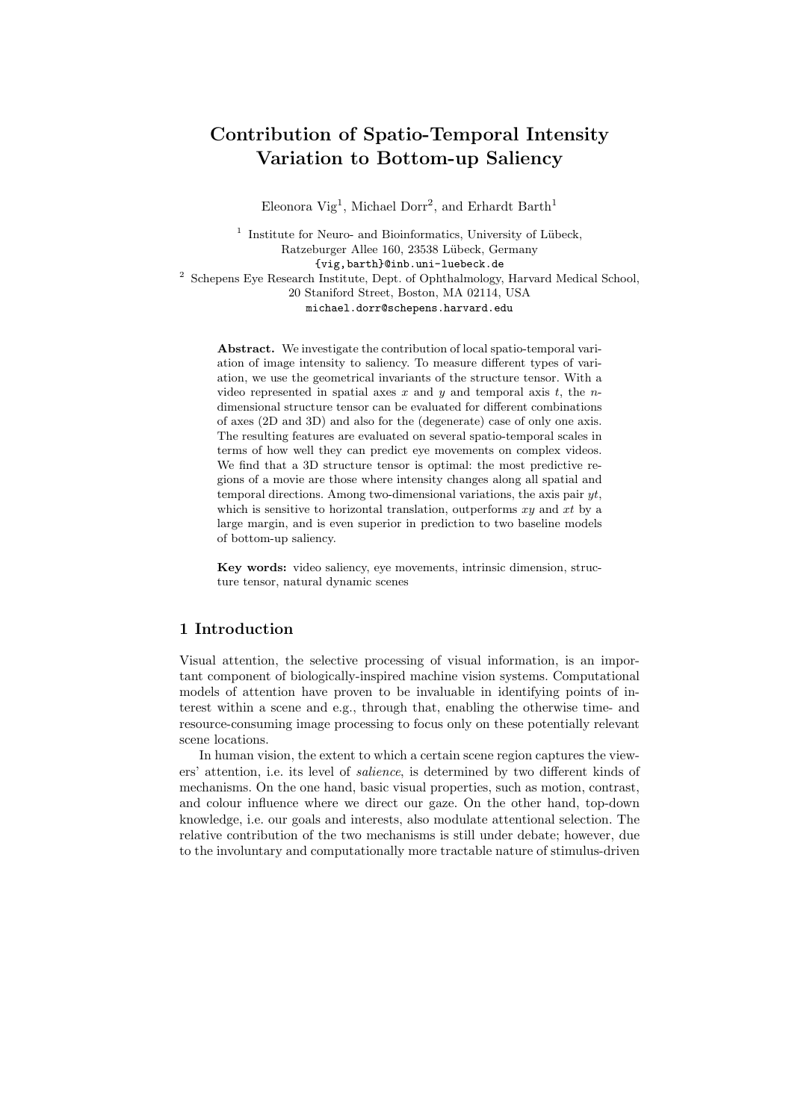# Contribution of Spatio-Temporal Intensity Variation to Bottom-up Saliency

Eleonora Vig<sup>1</sup>, Michael Dorr<sup>2</sup>, and Erhardt Barth<sup>1</sup>

<sup>1</sup> Institute for Neuro- and Bioinformatics, University of Lübeck, Ratzeburger Allee 160, 23538 Lübeck, Germany {vig,barth}@inb.uni-luebeck.de <sup>2</sup> Schepens Eye Research Institute, Dept. of Ophthalmology, Harvard Medical School, 20 Staniford Street, Boston, MA 02114, USA michael.dorr@schepens.harvard.edu

Abstract. We investigate the contribution of local spatio-temporal variation of image intensity to saliency. To measure different types of variation, we use the geometrical invariants of the structure tensor. With a video represented in spatial axes x and y and temporal axis t, the ndimensional structure tensor can be evaluated for different combinations of axes (2D and 3D) and also for the (degenerate) case of only one axis. The resulting features are evaluated on several spatio-temporal scales in terms of how well they can predict eye movements on complex videos. We find that a 3D structure tensor is optimal: the most predictive regions of a movie are those where intensity changes along all spatial and temporal directions. Among two-dimensional variations, the axis pair  $yt$ , which is sensitive to horizontal translation, outperforms  $xy$  and  $xt$  by a large margin, and is even superior in prediction to two baseline models of bottom-up saliency.

Key words: video saliency, eye movements, intrinsic dimension, structure tensor, natural dynamic scenes

### 1 Introduction

Visual attention, the selective processing of visual information, is an important component of biologically-inspired machine vision systems. Computational models of attention have proven to be invaluable in identifying points of interest within a scene and e.g., through that, enabling the otherwise time- and resource-consuming image processing to focus only on these potentially relevant scene locations.

In human vision, the extent to which a certain scene region captures the viewers' attention, i.e. its level of salience, is determined by two different kinds of mechanisms. On the one hand, basic visual properties, such as motion, contrast, and colour influence where we direct our gaze. On the other hand, top-down knowledge, i.e. our goals and interests, also modulate attentional selection. The relative contribution of the two mechanisms is still under debate; however, due to the involuntary and computationally more tractable nature of stimulus-driven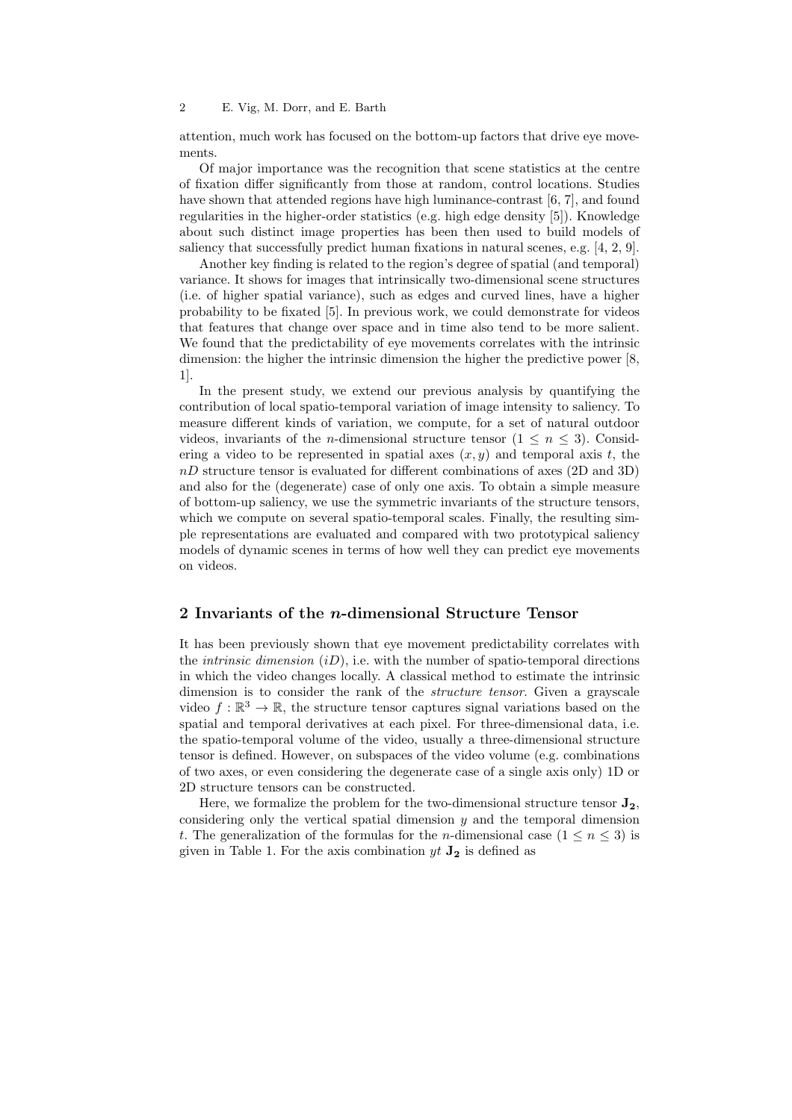attention, much work has focused on the bottom-up factors that drive eye movements.

Of major importance was the recognition that scene statistics at the centre of fixation differ significantly from those at random, control locations. Studies have shown that attended regions have high luminance-contrast [6, 7], and found regularities in the higher-order statistics (e.g. high edge density [5]). Knowledge about such distinct image properties has been then used to build models of saliency that successfully predict human fixations in natural scenes, e.g. [4, 2, 9].

Another key finding is related to the region's degree of spatial (and temporal) variance. It shows for images that intrinsically two-dimensional scene structures (i.e. of higher spatial variance), such as edges and curved lines, have a higher probability to be fixated [5]. In previous work, we could demonstrate for videos that features that change over space and in time also tend to be more salient. We found that the predictability of eye movements correlates with the intrinsic dimension: the higher the intrinsic dimension the higher the predictive power [8, 1].

In the present study, we extend our previous analysis by quantifying the contribution of local spatio-temporal variation of image intensity to saliency. To measure different kinds of variation, we compute, for a set of natural outdoor videos, invariants of the *n*-dimensional structure tensor  $(1 \leq n \leq 3)$ . Considering a video to be represented in spatial axes  $(x, y)$  and temporal axis t, the nD structure tensor is evaluated for different combinations of axes (2D and 3D) and also for the (degenerate) case of only one axis. To obtain a simple measure of bottom-up saliency, we use the symmetric invariants of the structure tensors, which we compute on several spatio-temporal scales. Finally, the resulting simple representations are evaluated and compared with two prototypical saliency models of dynamic scenes in terms of how well they can predict eye movements on videos.

#### 2 Invariants of the *n*-dimensional Structure Tensor

It has been previously shown that eye movement predictability correlates with the *intrinsic dimension*  $(iD)$ , i.e. with the number of spatio-temporal directions in which the video changes locally. A classical method to estimate the intrinsic dimension is to consider the rank of the *structure tensor*. Given a grayscale video  $f : \mathbb{R}^3 \to \mathbb{R}$ , the structure tensor captures signal variations based on the spatial and temporal derivatives at each pixel. For three-dimensional data, i.e. the spatio-temporal volume of the video, usually a three-dimensional structure tensor is defined. However, on subspaces of the video volume (e.g. combinations of two axes, or even considering the degenerate case of a single axis only) 1D or 2D structure tensors can be constructed.

Here, we formalize the problem for the two-dimensional structure tensor  $J_2$ , considering only the vertical spatial dimension  $y$  and the temporal dimension t. The generalization of the formulas for the *n*-dimensional case  $(1 \le n \le 3)$  is given in Table 1. For the axis combination  $yt \mathbf{J}_2$  is defined as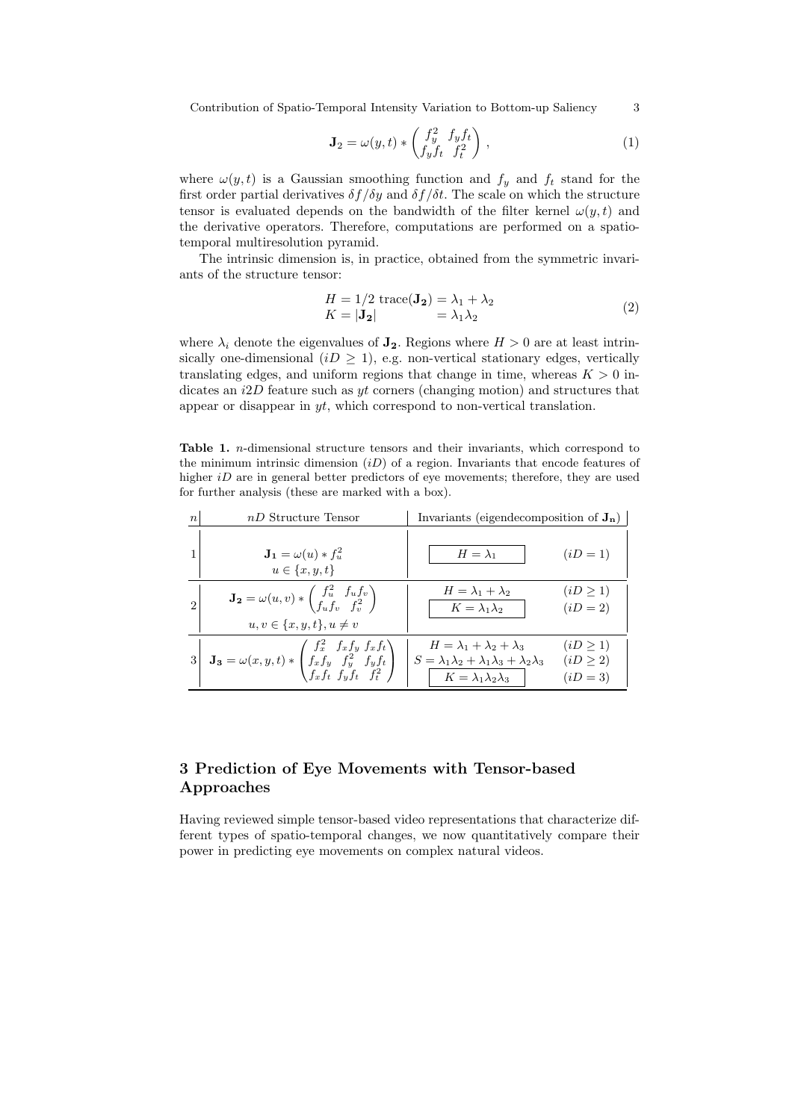Contribution of Spatio-Temporal Intensity Variation to Bottom-up Saliency 3

$$
\mathbf{J}_2 = \omega(y, t) * \begin{pmatrix} f_y^2 & f_y f_t \\ f_y f_t & f_t^2 \end{pmatrix},
$$
\n(1)

where  $\omega(y, t)$  is a Gaussian smoothing function and  $f_y$  and  $f_t$  stand for the first order partial derivatives  $\delta f/\delta y$  and  $\delta f/\delta t$ . The scale on which the structure tensor is evaluated depends on the bandwidth of the filter kernel  $\omega(y, t)$  and the derivative operators. Therefore, computations are performed on a spatiotemporal multiresolution pyramid.

The intrinsic dimension is, in practice, obtained from the symmetric invariants of the structure tensor:

$$
H = 1/2 \operatorname{trace}(\mathbf{J_2}) = \lambda_1 + \lambda_2
$$
  
\n
$$
K = |\mathbf{J_2}| = \lambda_1 \lambda_2
$$
\n(2)

where  $\lambda_i$  denote the eigenvalues of  $\mathbf{J}_2$ . Regions where  $H > 0$  are at least intrinsically one-dimensional  $(iD \geq 1)$ , e.g. non-vertical stationary edges, vertically translating edges, and uniform regions that change in time, whereas  $K > 0$  indicates an  $i2D$  feature such as yt corners (changing motion) and structures that appear or disappear in  $yt$ , which correspond to non-vertical translation.

Table 1. n-dimensional structure tensors and their invariants, which correspond to the minimum intrinsic dimension  $(iD)$  of a region. Invariants that encode features of higher  $iD$  are in general better predictors of eye movements; therefore, they are used for further analysis (these are marked with a box).

| $\boldsymbol{n}$ | $nD$ Structure Tensor                                                                                                                              | Invariants (eigendecomposition of $J_n$ )                                                                                                               |                                            |  |
|------------------|----------------------------------------------------------------------------------------------------------------------------------------------------|---------------------------------------------------------------------------------------------------------------------------------------------------------|--------------------------------------------|--|
|                  | $\mathbf{J}_1 = \omega(u) * f_u^2$<br>$u \in \{x, y, t\}$                                                                                          | $H = \lambda_1$                                                                                                                                         | $(iD = 1)$                                 |  |
| $\overline{2}$   | $\mathbf{J_2} = \omega(u, v) * \begin{pmatrix} f_u^2 & f_u f_v \\ f_u f_v & f_v^2 \end{pmatrix}$<br>$u, v \in \{x, y, t\}, u \neq v$               | $H = \lambda_1 + \lambda_2$<br>$K = \lambda_1 \lambda_2$                                                                                                | (iD > 1)<br>$(iD = 2)$                     |  |
|                  | $\mathbf{J_3} = \omega(x,y,t) * \begin{pmatrix} f_x^2 & f_x f_y & f_x f_t \\ f_x f_y & f_y^2 & f_y f_t \\ f_x f_t & f_y f_t & f_t^2 \end{pmatrix}$ | $H = \lambda_1 + \lambda_2 + \lambda_3$<br>$S = \lambda_1 \lambda_2 + \lambda_1 \lambda_3 + \lambda_2 \lambda_3$<br>$K = \lambda_1 \lambda_2 \lambda_3$ | $(iD \geq 1)$<br>$(iD \geq 2)$<br>$(iD=3)$ |  |

## 3 Prediction of Eye Movements with Tensor-based Approaches

Having reviewed simple tensor-based video representations that characterize different types of spatio-temporal changes, we now quantitatively compare their power in predicting eye movements on complex natural videos.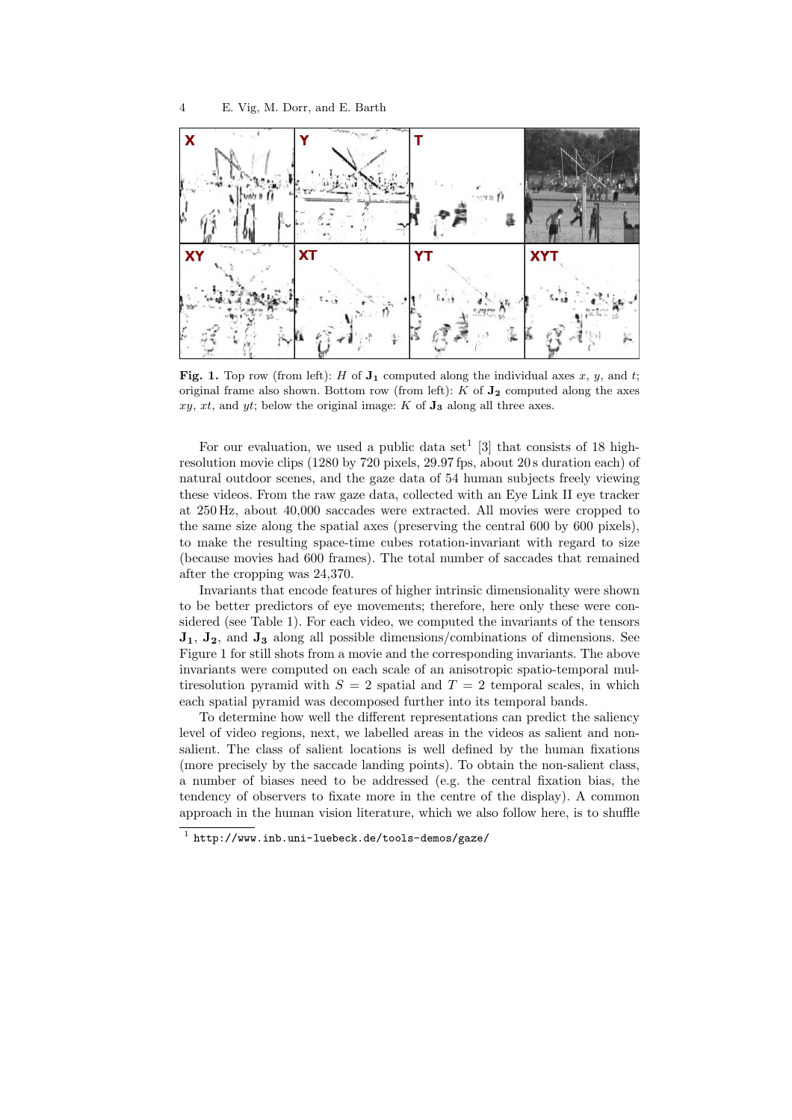

Fig. 1. Top row (from left): H of  $J_1$  computed along the individual axes x, y, and t; original frame also shown. Bottom row (from left):  $K$  of  $J_2$  computed along the axes  $xy, xt, and yt; below the original image: K of **J**<sub>3</sub> along all three axes.$ 

For our evaluation, we used a public data set<sup>1</sup> [3] that consists of 18 highresolution movie clips (1280 by 720 pixels, 29.97 fps, about 20 s duration each) of natural outdoor scenes, and the gaze data of 54 human subjects freely viewing these videos. From the raw gaze data, collected with an Eye Link II eye tracker at 250 Hz, about 40,000 saccades were extracted. All movies were cropped to the same size along the spatial axes (preserving the central 600 by 600 pixels), to make the resulting space-time cubes rotation-invariant with regard to size (because movies had 600 frames). The total number of saccades that remained after the cropping was 24,370.

Invariants that encode features of higher intrinsic dimensionality were shown to be better predictors of eye movements; therefore, here only these were considered (see Table 1). For each video, we computed the invariants of the tensors  $J_1$ ,  $J_2$ , and  $J_3$  along all possible dimensions/combinations of dimensions. See Figure 1 for still shots from a movie and the corresponding invariants. The above invariants were computed on each scale of an anisotropic spatio-temporal multiresolution pyramid with  $S = 2$  spatial and  $T = 2$  temporal scales, in which each spatial pyramid was decomposed further into its temporal bands.

To determine how well the different representations can predict the saliency level of video regions, next, we labelled areas in the videos as salient and nonsalient. The class of salient locations is well defined by the human fixations (more precisely by the saccade landing points). To obtain the non-salient class, a number of biases need to be addressed (e.g. the central fixation bias, the tendency of observers to fixate more in the centre of the display). A common approach in the human vision literature, which we also follow here, is to shuffle

<sup>1</sup> http://www.inb.uni-luebeck.de/tools-demos/gaze/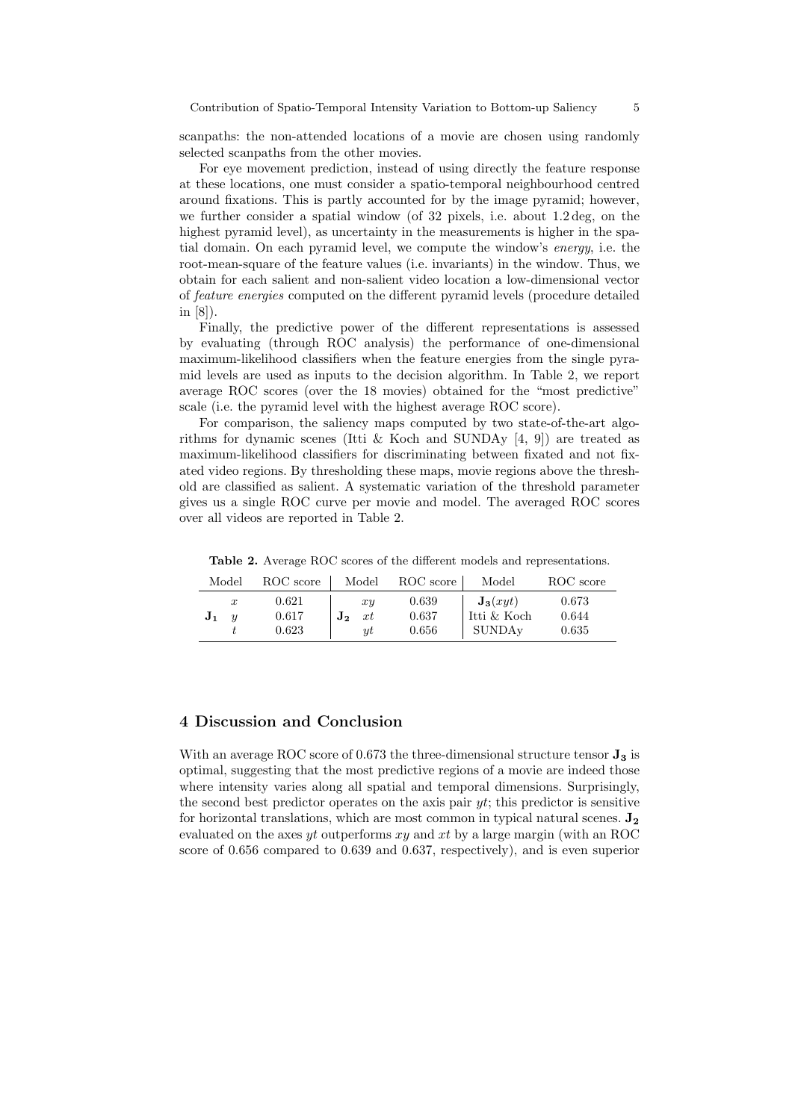scanpaths: the non-attended locations of a movie are chosen using randomly selected scanpaths from the other movies.

For eye movement prediction, instead of using directly the feature response at these locations, one must consider a spatio-temporal neighbourhood centred around fixations. This is partly accounted for by the image pyramid; however, we further consider a spatial window (of 32 pixels, i.e. about 1.2 deg, on the highest pyramid level), as uncertainty in the measurements is higher in the spatial domain. On each pyramid level, we compute the window's energy, i.e. the root-mean-square of the feature values (i.e. invariants) in the window. Thus, we obtain for each salient and non-salient video location a low-dimensional vector of feature energies computed on the different pyramid levels (procedure detailed in [8]).

Finally, the predictive power of the different representations is assessed by evaluating (through ROC analysis) the performance of one-dimensional maximum-likelihood classifiers when the feature energies from the single pyramid levels are used as inputs to the decision algorithm. In Table 2, we report average ROC scores (over the 18 movies) obtained for the "most predictive" scale (i.e. the pyramid level with the highest average ROC score).

For comparison, the saliency maps computed by two state-of-the-art algorithms for dynamic scenes (Itti & Koch and SUNDAy  $[4, 9]$ ) are treated as maximum-likelihood classifiers for discriminating between fixated and not fixated video regions. By thresholding these maps, movie regions above the threshold are classified as salient. A systematic variation of the threshold parameter gives us a single ROC curve per movie and model. The averaged ROC scores over all videos are reported in Table 2.

Table 2. Average ROC scores of the different models and representations.

| Model                                                  | ROC score               | Model                | ROC score               | Model                                        | ROC score               |
|--------------------------------------------------------|-------------------------|----------------------|-------------------------|----------------------------------------------|-------------------------|
| $\boldsymbol{x}$<br>J <sub>1</sub><br>$\boldsymbol{u}$ | 0.621<br>0.617<br>0.623 | xy<br>xt<br>J2<br>иt | 0.639<br>0.637<br>0.656 | $\mathbf{J_3}(xyt)$<br>Itti & Koch<br>SUNDAy | 0.673<br>0.644<br>0.635 |

### 4 Discussion and Conclusion

With an average ROC score of 0.673 the three-dimensional structure tensor  $J_3$  is optimal, suggesting that the most predictive regions of a movie are indeed those where intensity varies along all spatial and temporal dimensions. Surprisingly, the second best predictor operates on the axis pair  $yt$ ; this predictor is sensitive for horizontal translations, which are most common in typical natural scenes.  $J_2$ evaluated on the axes yt outperforms  $xy$  and  $xt$  by a large margin (with an ROC score of 0.656 compared to 0.639 and 0.637, respectively), and is even superior